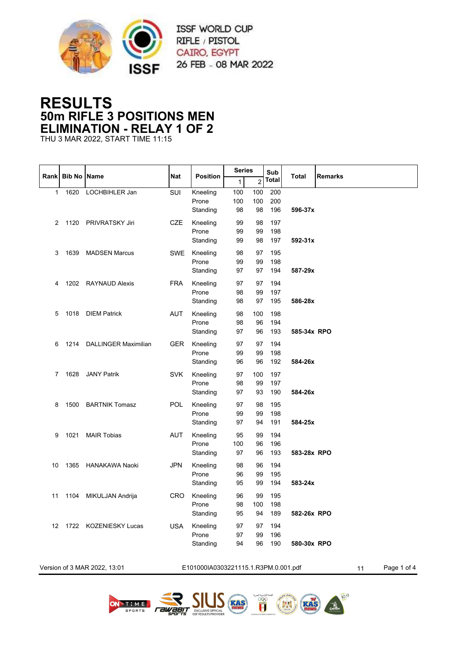

## **RESULTS 50m RIFLE 3 POSITIONS MEN ELIMINATION - RELAY 1 OF 2**

THU 3 MAR 2022, START TIME 11:15

|      |                    |                              |            |                                      |              | <b>Series</b>  |              |              |                   |
|------|--------------------|------------------------------|------------|--------------------------------------|--------------|----------------|--------------|--------------|-------------------|
| Rank | <b>Bib No Name</b> |                              | <b>Nat</b> | <b>Position</b>                      | $\mathbf{1}$ | $\overline{c}$ | Sub<br>Total | <b>Total</b> | <b>Remarks</b>    |
| 1    | 1620               | LOCHBIHLER Jan               | SUI        | Kneeling                             | 100          | 100            | 200          |              |                   |
|      |                    |                              |            | Prone                                | 100          | 100            | 200          |              |                   |
|      |                    |                              |            | Standing                             | 98           | 98             | 196          | 596-37x      |                   |
| 2    | 1120               | <b>PRIVRATSKY Jiri</b>       | <b>CZE</b> | Kneeling                             | 99           | 98             | 197          |              |                   |
|      |                    |                              |            | Prone                                | 99           | 99             | 198          |              |                   |
|      |                    |                              |            | Standing                             | 99           | 98             | 197          | 592-31x      |                   |
| 3    | 1639               | <b>MADSEN Marcus</b>         | <b>SWE</b> | Kneeling                             | 98           | 97             | 195          |              |                   |
|      |                    |                              |            | Prone                                | 99           | 99             | 198          |              |                   |
|      |                    |                              |            | Standing                             | 97           | 97             | 194          | 587-29x      |                   |
| 4    | 1202               | <b>RAYNAUD Alexis</b>        | <b>FRA</b> | Kneeling                             | 97           | 97             | 194          |              |                   |
|      |                    |                              |            | Prone                                | 98           | 99             | 197          |              |                   |
|      |                    |                              |            | Standing                             | 98           | 97             | 195          | 586-28x      |                   |
| 5    |                    | 1018 DIEM Patrick            | <b>AUT</b> | Kneeling                             | 98           | 100            | 198          |              |                   |
|      |                    |                              |            | Prone                                | 98           | 96             | 194          |              |                   |
|      |                    |                              |            | Standing                             | 97           | 96             | 193          | 585-34x RPO  |                   |
| 6    | 1214               | <b>DALLINGER Maximilian</b>  | <b>GER</b> | Kneeling                             | 97           | 97             | 194          |              |                   |
|      |                    |                              |            | Prone                                | 99           | 99             | 198          |              |                   |
|      |                    |                              |            | Standing                             | 96           | 96             | 192          | 584-26x      |                   |
| 7    | 1628               | <b>JANY Patrik</b>           | <b>SVK</b> | Kneeling                             | 97           | 100            | 197          |              |                   |
|      |                    |                              |            | Prone                                | 98           | 99             | 197          |              |                   |
|      |                    |                              |            | Standing                             | 97           | 93             | 190          | 584-26x      |                   |
| 8    | 1500               | <b>BARTNIK Tomasz</b>        | <b>POL</b> | Kneeling                             | 97           | 98             | 195          |              |                   |
|      |                    |                              |            | Prone                                | 99           | 99             | 198          |              |                   |
|      |                    |                              |            | Standing                             | 97           | 94             | 191          | 584-25x      |                   |
| 9    | 1021               | <b>MAIR Tobias</b>           | <b>AUT</b> | Kneeling                             | 95           | 99             | 194          |              |                   |
|      |                    |                              |            | Prone                                | 100          | 96             | 196          |              |                   |
|      |                    |                              |            | Standing                             | 97           | 96             | 193          | 583-28x RPO  |                   |
| 10   | 1365               | <b>HANAKAWA Naoki</b>        | <b>JPN</b> | Kneeling                             | 98           | 96             | 194          |              |                   |
|      |                    |                              |            | Prone                                | 96           | 99             | 195          |              |                   |
|      |                    |                              |            | Standing                             | 95           | 99             | 194          | 583-24x      |                   |
| 11   | 1104               | MIKULJAN Andrija             | <b>CRO</b> | Kneeling                             | 96           | 99             | 195          |              |                   |
|      |                    |                              |            | Prone                                | 98           | 100            | 198          |              |                   |
|      |                    |                              |            | Standing                             | 95           | 94             | 189          | 582-26x RPO  |                   |
|      |                    | 12 1722 KOZENIESKY Lucas     | <b>USA</b> | Kneeling                             | 97           | 97             | 194          |              |                   |
|      |                    |                              |            | Prone                                | 97           | 99             | 196          |              |                   |
|      |                    |                              |            | Standing                             | 94           | 96             | 190          | 580-30x RPO  |                   |
|      |                    |                              |            |                                      |              |                |              |              |                   |
|      |                    | Version of 3 MAR 2022, 13:01 |            | E101000IA0303221115.1.R3PM.0.001.pdf |              |                |              |              | Page 1 of 4<br>11 |

 $10^{9}$ 

 $(\mathbb{M})$ 

**EGYPED** 

rawaen

**RAS**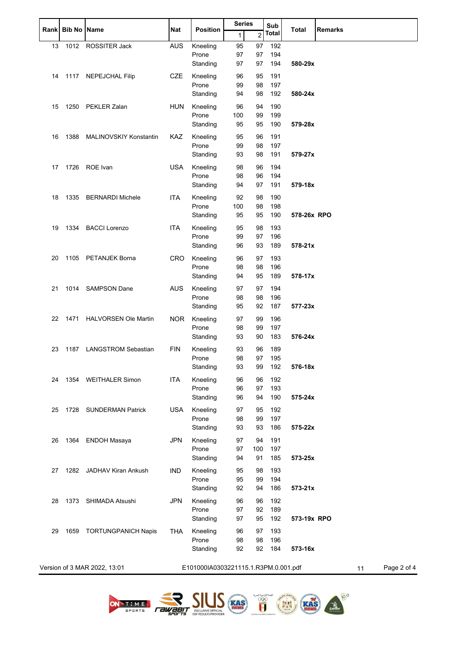| Rank |      | <b>Bib No Name</b>            | Nat        | <b>Position</b>                      |              | <b>Series</b>  |              | <b>Total</b> | <b>Remarks</b>    |
|------|------|-------------------------------|------------|--------------------------------------|--------------|----------------|--------------|--------------|-------------------|
|      |      |                               |            |                                      | $\mathbf{1}$ | $\overline{2}$ | <b>Total</b> |              |                   |
| 13   | 1012 | ROSSITER Jack                 | <b>AUS</b> | Kneeling                             | 95           | 97             | 192          |              |                   |
|      |      |                               |            | Prone                                | 97<br>97     | 97             | 194<br>194   | 580-29x      |                   |
|      |      |                               |            | Standing                             |              | 97             |              |              |                   |
| 14   | 1117 | <b>NEPEJCHAL Filip</b>        | <b>CZE</b> | Kneeling<br>Prone                    | 96<br>99     | 95             | 191<br>197   |              |                   |
|      |      |                               |            | Standing                             | 94           | 98<br>98       | 192          | 580-24x      |                   |
|      | 1250 | PEKLER Zalan                  | <b>HUN</b> | Kneeling                             | 96           | 94             | 190          |              |                   |
| 15   |      |                               |            | Prone                                | 100          | 99             | 199          |              |                   |
|      |      |                               |            | Standing                             | 95           | 95             | 190          | 579-28x      |                   |
| 16   | 1388 | <b>MALINOVSKIY Konstantin</b> | KAZ        | Kneeling                             | 95           | 96             | 191          |              |                   |
|      |      |                               |            | Prone                                | 99           | 98             | 197          |              |                   |
|      |      |                               |            | Standing                             | 93           | 98             | 191          | 579-27x      |                   |
| 17   | 1726 | ROE Ivan                      | <b>USA</b> | Kneeling                             | 98           | 96             | 194          |              |                   |
|      |      |                               |            | Prone                                | 98           | 96             | 194          |              |                   |
|      |      |                               |            | Standing                             | 94           | 97             | 191          | 579-18x      |                   |
| 18   | 1335 | <b>BERNARDI Michele</b>       | <b>ITA</b> | Kneeling                             | 92           | 98             | 190          |              |                   |
|      |      |                               |            | Prone<br>Standing                    | 100<br>95    | 98<br>95       | 198<br>190   | 578-26x RPO  |                   |
|      |      |                               |            |                                      |              |                |              |              |                   |
| 19   | 1334 | <b>BACCI Lorenzo</b>          | <b>ITA</b> | Kneeling<br>Prone                    | 95<br>99     | 98<br>97       | 193<br>196   |              |                   |
|      |      |                               |            | Standing                             | 96           | 93             | 189          | 578-21x      |                   |
| 20   | 1105 | PETANJEK Borna                | <b>CRO</b> | Kneeling                             | 96           | 97             | 193          |              |                   |
|      |      |                               |            | Prone                                | 98           | 98             | 196          |              |                   |
|      |      |                               |            | Standing                             | 94           | 95             | 189          | 578-17x      |                   |
| 21   |      | 1014 SAMPSON Dane             | <b>AUS</b> | Kneeling                             | 97           | 97             | 194          |              |                   |
|      |      |                               |            | Prone                                | 98           | 98             | 196          |              |                   |
|      |      |                               |            | Standing                             | 95           | 92             | 187          | 577-23x      |                   |
| 22   | 1471 | <b>HALVORSEN Ole Martin</b>   | <b>NOR</b> | Kneeling                             | 97           | 99             | 196          |              |                   |
|      |      |                               |            | Prone<br>Standing                    | 98<br>93     | 99<br>90       | 197<br>183   | 576-24x      |                   |
|      |      |                               |            |                                      |              |                |              |              |                   |
| 23   | 1187 | <b>LANGSTROM Sebastian</b>    | <b>FIN</b> | Kneeling<br>Prone                    | 93<br>98     | 96<br>97       | 189<br>195   |              |                   |
|      |      |                               |            | Standing                             | 93           | 99             | 192          | 576-18x      |                   |
| 24   |      | 1354 WEITHALER Simon          | <b>ITA</b> | Kneeling                             | 96           | 96             | 192          |              |                   |
|      |      |                               |            | Prone                                | 96           | 97             | 193          |              |                   |
|      |      |                               |            | Standing                             | 96           | 94             | 190          | 575-24x      |                   |
| 25   | 1728 | <b>SUNDERMAN Patrick</b>      | <b>USA</b> | Kneeling                             | 97           | 95             | 192          |              |                   |
|      |      |                               |            | Prone                                | 98           | 99             | 197          |              |                   |
|      |      |                               |            | Standing                             | 93           | 93             | 186          | 575-22x      |                   |
| 26   | 1364 | <b>ENDOH Masaya</b>           | <b>JPN</b> | Kneeling                             | 97           | 94             | 191          |              |                   |
|      |      |                               |            | Prone<br>Standing                    | 97<br>94     | 100<br>91      | 197<br>185   | 573-25x      |                   |
|      |      |                               |            |                                      |              |                |              |              |                   |
| 27   | 1282 | JADHAV Kiran Ankush           | <b>IND</b> | Kneeling<br>Prone                    | 95<br>95     | 98<br>99       | 193<br>194   |              |                   |
|      |      |                               |            | Standing                             | 92           | 94             | 186          | 573-21x      |                   |
| 28   | 1373 | SHIMADA Atsushi               | <b>JPN</b> | Kneeling                             | 96           | 96             | 192          |              |                   |
|      |      |                               |            | Prone                                | 97           | 92             | 189          |              |                   |
|      |      |                               |            | Standing                             | 97           | 95             | 192          | 573-19x RPO  |                   |
| 29   | 1659 | <b>TORTUNGPANICH Napis</b>    | <b>THA</b> | Kneeling                             | 96           | 97             | 193          |              |                   |
|      |      |                               |            | Prone                                | 98           | 98             | 196          |              |                   |
|      |      |                               |            | Standing                             | 92           | 92             | 184          | 573-16x      |                   |
|      |      | Version of 3 MAR 2022, 13:01  |            | E101000IA0303221115.1.R3PM.0.001.pdf |              |                |              |              | Page 2 of 4<br>11 |
|      |      |                               |            |                                      |              |                |              |              |                   |







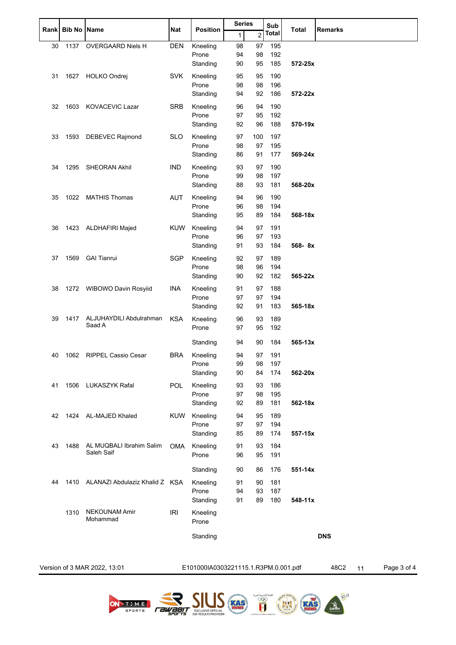| Rank | <b>Bib No</b> | <b>Name</b>                            | Nat        | <b>Position</b>   | <b>Series</b> |                | Sub          | <b>Total</b> | <b>Remarks</b> |
|------|---------------|----------------------------------------|------------|-------------------|---------------|----------------|--------------|--------------|----------------|
|      |               |                                        |            |                   | $\mathbf{1}$  | $\overline{c}$ | <b>Total</b> |              |                |
| 30   | 1137          | OVERGAARD Niels H                      | <b>DEN</b> | Kneeling          | 98            | 97             | 195          |              |                |
|      |               |                                        |            | Prone<br>Standing | 94<br>90      | 98<br>95       | 192<br>185   | 572-25x      |                |
| 31   | 1627          | HOLKO Ondrej                           | <b>SVK</b> | Kneeling          | 95            | 95             | 190          |              |                |
|      |               |                                        |            | Prone<br>Standing | 98<br>94      | 98<br>92       | 196<br>186   | 572-22x      |                |
| 32   | 1603          | KOVACEVIC Lazar                        | <b>SRB</b> | Kneeling          | 96            | 94             | 190          |              |                |
|      |               |                                        |            | Prone             | 97            | 95             | 192          |              |                |
|      |               |                                        |            | Standing          | 92            | 96             | 188          | 570-19x      |                |
| 33   | 1593          | DEBEVEC Rajmond                        | <b>SLO</b> | Kneeling          | 97            | 100            | 197          |              |                |
|      |               |                                        |            | Prone<br>Standing | 98<br>86      | 97<br>91       | 195<br>177   | 569-24x      |                |
| 34   | 1295          | <b>SHEORAN Akhil</b>                   | <b>IND</b> | Kneeling          | 93            | 97             | 190          |              |                |
|      |               |                                        |            | Prone             | 99            | 98             | 197          |              |                |
|      |               |                                        |            | Standing          | 88            | 93             | 181          | 568-20x      |                |
| 35   | 1022          | <b>MATHIS Thomas</b>                   | <b>AUT</b> | Kneeling          | 94            | 96             | 190          |              |                |
|      |               |                                        |            | Prone             | 96            | 98             | 194          |              |                |
|      |               |                                        |            | Standing          | 95            | 89             | 184          | 568-18x      |                |
| 36   |               | 1423 ALDHAFIRI Majed                   | <b>KUW</b> | Kneeling<br>Prone | 94<br>96      | 97<br>97       | 191<br>193   |              |                |
|      |               |                                        |            | Standing          | 91            | 93             | 184          | 568-8x       |                |
| 37   | 1569          | <b>GAI Tianrui</b>                     | <b>SGP</b> | Kneeling          | 92            | 97             | 189          |              |                |
|      |               |                                        |            | Prone             | 98            | 96             | 194          |              |                |
|      |               |                                        |            | Standing          | 90            | 92             | 182          | 565-22x      |                |
| 38   |               | 1272 WIBOWO Davin Rosyiid              | INA        | Kneeling<br>Prone | 91<br>97      | 97             | 188<br>194   |              |                |
|      |               |                                        |            | Standing          | 92            | 97<br>91       | 183          | 565-18x      |                |
| 39   | 1417          | ALJUHAYDILI Abdulrahman                | <b>KSA</b> | Kneeling          | 96            | 93             | 189          |              |                |
|      |               | Saad A                                 |            | Prone             | 97            | 95             | 192          |              |                |
|      |               |                                        |            | Standing          | 94            | 90             | 184          | $565 - 13x$  |                |
| 40   | 1062          | <b>RIPPEL Cassio Cesar</b>             | <b>BRA</b> | Kneeling          | 94            | 97             | 191          |              |                |
|      |               |                                        |            | Prone<br>Standing | 99<br>90      | 98<br>84       | 197<br>174   | 562-20x      |                |
| 41   | 1506          | LUKASZYK Rafal                         | <b>POL</b> | Kneeling          | 93            | 93             | 186          |              |                |
|      |               |                                        |            | Prone             | 97            | 98             | 195          |              |                |
|      |               |                                        |            | Standing          | 92            | 89             | 181          | 562-18x      |                |
| 42   | 1424          | AL-MAJED Khaled                        | <b>KUW</b> | Kneeling          | 94            | 95             | 189          |              |                |
|      |               |                                        |            | Prone             | 97            | 97             | 194          |              |                |
|      |               |                                        |            | Standing          | 85            | 89             | 174          | 557-15x      |                |
| 43   | 1488          | AL MUQBALI Ibrahim Salim<br>Saleh Saif | <b>OMA</b> | Kneeling<br>Prone | 91<br>96      | 93<br>95       | 184<br>191   |              |                |
|      |               |                                        |            | Standing          | 90            | 86             | 176          | 551-14x      |                |
| 44   | 1410          | ALANAZI Abdulaziz Khalid Z KSA         |            | Kneeling          | 91            | 90             | 181          |              |                |
|      |               |                                        |            | Prone             | 94            | 93             | 187          |              |                |
|      |               |                                        |            | Standing          | 91            | 89             | 180          | 548-11x      |                |
|      | 1310          | <b>NEKOUNAM Amir</b><br>Mohammad       | <b>IRI</b> | Kneeling<br>Prone |               |                |              |              |                |
|      |               |                                        |            | Standing          |               |                |              |              | <b>DNS</b>     |
|      |               |                                        |            |                   |               |                |              |              |                |
|      |               |                                        |            |                   |               |                |              |              |                |

Version of 3 MAR 2022, 13:01 E101000IA0303221115.1.R3PM.0.001.pdf 48C2 11 Page 3 of 4